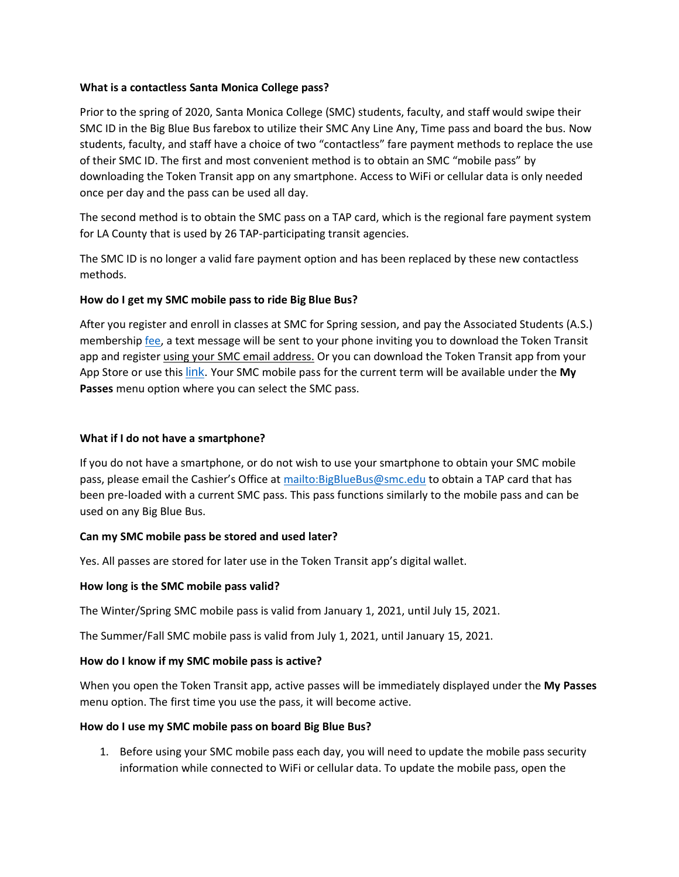#### **What is a contactless Santa Monica College pass?**

Prior to the spring of 2020, Santa Monica College (SMC) students, faculty, and staff would swipe their SMC ID in the Big Blue Bus farebox to utilize their SMC Any Line Any, Time pass and board the bus. Now students, faculty, and staff have a choice of two "contactless" fare payment methods to replace the use of their SMC ID. The first and most convenient method is to obtain an SMC "mobile pass" by downloading the Token Transit app on any smartphone. Access to WiFi or cellular data is only needed once per day and the pass can be used all day.

The second method is to obtain the SMC pass on a TAP card, which is the regional fare payment system for LA County that is used by 26 TAP-participating transit agencies.

The SMC ID is no longer a valid fare payment option and has been replaced by these new contactless methods.

# **How do I get my SMC mobile pass to ride Big Blue Bus?**

After you register and enroll in classes at SMC for Spring session, and pay the Associated Students (A.S.) membership [fee,](https://www.smc.edu/community/office-of-student-life/student-government/as-membership-benefits.php) a text message will be sent to your phone inviting you to download the Token Transit app and register using your SMC email address. Or you can download the Token Transit app from your App Store or use this [link.](https://tokentransit.com/app?a=bigbluebus&utm_campaign=smc2021) Your SMC mobile pass for the current term will be available under the **My Passes** menu option where you can select the SMC pass.

# **What if I do not have a smartphone?**

If you do not have a smartphone, or do not wish to use your smartphone to obtain your SMC mobile pass, please email the Cashier's Office at <mailto:BigBlueBus@smc.edu> to obtain a TAP card that has been pre-loaded with a current SMC pass. This pass functions similarly to the mobile pass and can be used on any Big Blue Bus.

# **Can my SMC mobile pass be stored and used later?**

Yes. All passes are stored for later use in the Token Transit app's digital wallet.

# **How long is the SMC mobile pass valid?**

The Winter/Spring SMC mobile pass is valid from January 1, 2021, until July 15, 2021.

The Summer/Fall SMC mobile pass is valid from July 1, 2021, until January 15, 2021.

# **How do I know if my SMC mobile pass is active?**

When you open the Token Transit app, active passes will be immediately displayed under the **My Passes** menu option. The first time you use the pass, it will become active.

# **How do I use my SMC mobile pass on board Big Blue Bus?**

1. Before using your SMC mobile pass each day, you will need to update the mobile pass security information while connected to WiFi or cellular data. To update the mobile pass, open the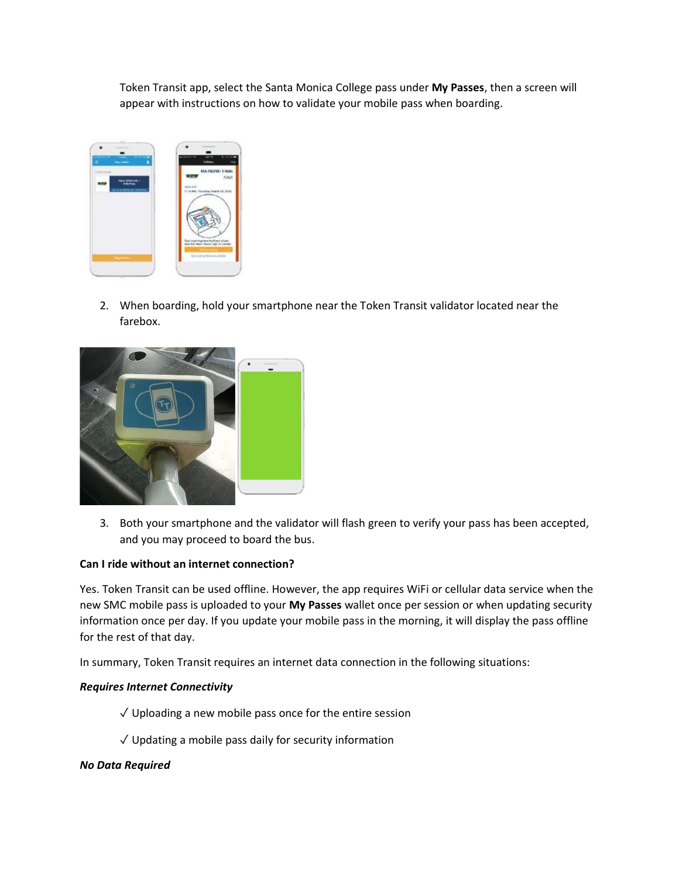Token Transit app, select the Santa Monica College pass under **My Passes**, then a screen will appear with instructions on how to validate your mobile pass when boarding.



2. When boarding, hold your smartphone near the Token Transit validator located near the farebox.



3. Both your smartphone and the validator will flash green to verify your pass has been accepted, and you may proceed to board the bus.

# **Can I ride without an internet connection?**

Yes. Token Transit can be used offline. However, the app requires WiFi or cellular data service when the new SMC mobile pass is uploaded to your **My Passes** wallet once per session or when updating security information once per day. If you update your mobile pass in the morning, it will display the pass offline for the rest of that day.

In summary, Token Transit requires an internet data connection in the following situations:

# *Requires Internet Connectivity*

- $\sqrt{ }$  Uploading a new mobile pass once for the entire session
- $\sqrt{ }$  Updating a mobile pass daily for security information

# *No Data Required*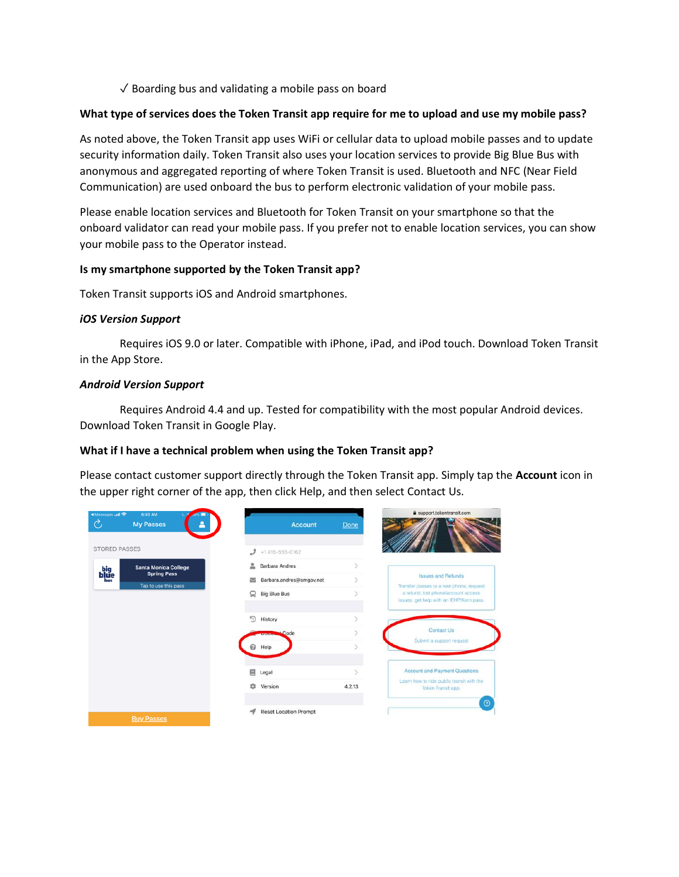$\sqrt{\ }$  Boarding bus and validating a mobile pass on board

#### **What type of services does the Token Transit app require for me to upload and use my mobile pass?**

As noted above, the Token Transit app uses WiFi or cellular data to upload mobile passes and to update security information daily. Token Transit also uses your location services to provide Big Blue Bus with anonymous and aggregated reporting of where Token Transit is used. Bluetooth and NFC (Near Field Communication) are used onboard the bus to perform electronic validation of your mobile pass.

Please enable location services and Bluetooth for Token Transit on your smartphone so that the onboard validator can read your mobile pass. If you prefer not to enable location services, you can show your mobile pass to the Operator instead.

#### **Is my smartphone supported by the Token Transit app?**

Token Transit supports iOS and Android smartphones.

#### *iOS Version Support*

Requires iOS 9.0 or later. Compatible with iPhone, iPad, and iPod touch. Download Token Transit in the App Store.

#### *Android Version Support*

Requires Android 4.4 and up. Tested for compatibility with the most popular Android devices. Download Token Transit in Google Play.

# **What if I have a technical problem when using the Token Transit app?**

Please contact customer support directly through the Token Transit app. Simply tap the **Account** icon in the upper right corner of the app, then click Help, and then select Contact Us.

| 4 Messages all 全<br>6:40 AM<br>Ò<br><b>My Passes</b>                           | <b>Account</b>               | a support.tokentransit.com<br>Done                                              |
|--------------------------------------------------------------------------------|------------------------------|---------------------------------------------------------------------------------|
| <b>STORED PASSES</b>                                                           | $+1415 - 555 - 0162$         |                                                                                 |
| <b>Santa Monica College</b><br>big<br><b>blue</b><br>bus<br><b>Spring Pass</b> | 2<br>Barbara Andres          | S.<br><b>Issues and Refunds</b>                                                 |
| Tap to use this pass                                                           | Barbara.andres@smgov.net     | $\geq$<br>Transfer passes to a new phone, request                               |
|                                                                                | Ω<br><b>Big Blue Bus</b>     | a refund, lost phone/account access<br>issues, get help with an IEHP/Kern pass. |
|                                                                                | $\mathbb{F}$<br>History      |                                                                                 |
|                                                                                | Code                         | Contact Us<br>Submit a support request                                          |
|                                                                                | Help                         |                                                                                 |
|                                                                                | 口<br>Legal                   | <b>Account and Payment Questions</b>                                            |
|                                                                                | ů<br>Version                 | Learn how to ride public transit with the<br>4.2.13<br>Token Transit app.       |
|                                                                                |                              | $\odot$                                                                         |
| <b>Buy Passes</b>                                                              | <b>Reset Location Prompt</b> |                                                                                 |